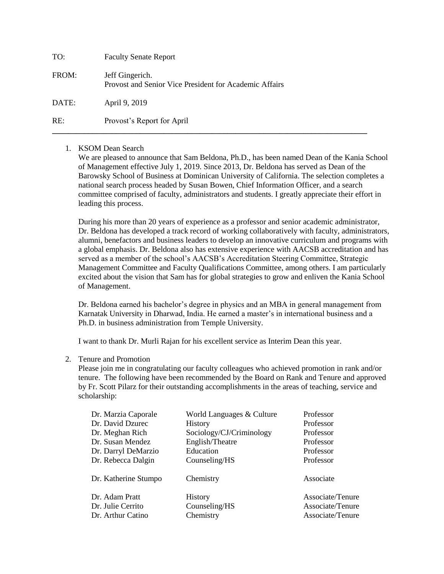| TO:   | <b>Faculty Senate Report</b>                                              |
|-------|---------------------------------------------------------------------------|
| FROM: | Jeff Gingerich.<br>Provost and Senior Vice President for Academic Affairs |
| DATE: | April 9, 2019                                                             |
| RE:   | Provost's Report for April                                                |

## 1. KSOM Dean Search

We are pleased to announce that Sam Beldona, Ph.D., has been named Dean of the Kania School of Management effective July 1, 2019. Since 2013, Dr. Beldona has served as Dean of the Barowsky School of Business at Dominican University of California. The selection completes a national search process headed by Susan Bowen, Chief Information Officer, and a search committee comprised of faculty, administrators and students. I greatly appreciate their effort in leading this process.

**\_\_\_\_\_\_\_\_\_\_\_\_\_\_\_\_\_\_\_\_\_\_\_\_\_\_\_\_\_\_\_\_\_\_\_\_\_\_\_\_\_\_\_\_\_\_\_\_\_\_\_\_\_\_\_\_\_\_\_\_\_\_\_\_\_\_\_\_\_\_\_\_\_\_\_\_\_\_\_**

During his more than 20 years of experience as a professor and senior academic administrator, Dr. Beldona has developed a track record of working collaboratively with faculty, administrators, alumni, benefactors and business leaders to develop an innovative curriculum and programs with a global emphasis. Dr. Beldona also has extensive experience with AACSB accreditation and has served as a member of the school's AACSB's Accreditation Steering Committee, Strategic Management Committee and Faculty Qualifications Committee, among others. I am particularly excited about the vision that Sam has for global strategies to grow and enliven the Kania School of Management.

Dr. Beldona earned his bachelor's degree in physics and an MBA in general management from Karnatak University in Dharwad, India. He earned a master's in international business and a Ph.D. in business administration from Temple University.

I want to thank Dr. Murli Rajan for his excellent service as Interim Dean this year.

# 2. Tenure and Promotion

Please join me in congratulating our faculty colleagues who achieved promotion in rank and/or tenure. The following have been recommended by the Board on Rank and Tenure and approved by Fr. Scott Pilarz for their outstanding accomplishments in the areas of teaching, service and scholarship:

| Dr. Marzia Caporale  | World Languages & Culture | Professor        |
|----------------------|---------------------------|------------------|
| Dr. David Dzurec     | <b>History</b>            | Professor        |
| Dr. Meghan Rich      | Sociology/CJ/Criminology  | Professor        |
| Dr. Susan Mendez     | English/Theatre           | Professor        |
| Dr. Darryl DeMarzio  | Education                 | Professor        |
| Dr. Rebecca Dalgin   | Counseling/HS             | Professor        |
| Dr. Katherine Stumpo | Chemistry                 | Associate        |
| Dr. Adam Pratt       | <b>History</b>            | Associate/Tenure |
| Dr. Julie Cerrito    | Counseling/HS             | Associate/Tenure |
| Dr. Arthur Catino    | Chemistry                 | Associate/Tenure |
|                      |                           |                  |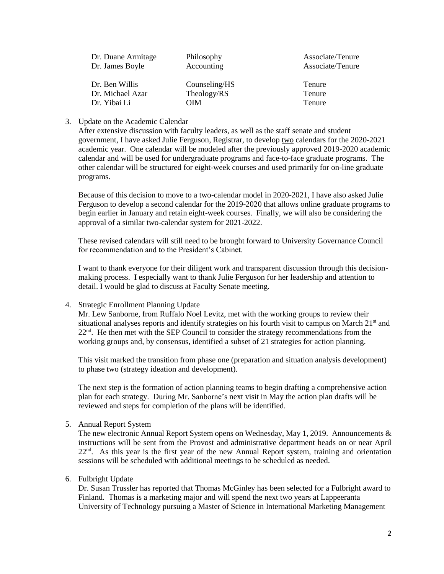| Dr. Duane Armitage | Philosophy    | Associate/Tenure |
|--------------------|---------------|------------------|
| Dr. James Boyle    | Accounting    | Associate/Tenure |
|                    |               |                  |
| Dr. Ben Willis     | Counseling/HS | Tenure           |
| Dr. Michael Azar   | Theology/RS   | Tenure           |
| Dr. Yibai Li       | OIM           | Tenure           |

## 3. Update on the Academic Calendar

After extensive discussion with faculty leaders, as well as the staff senate and student government, I have asked Julie Ferguson, Registrar, to develop two calendars for the 2020-2021 academic year. One calendar will be modeled after the previously approved 2019-2020 academic calendar and will be used for undergraduate programs and face-to-face graduate programs. The other calendar will be structured for eight-week courses and used primarily for on-line graduate programs.

Because of this decision to move to a two-calendar model in 2020-2021, I have also asked Julie Ferguson to develop a second calendar for the 2019-2020 that allows online graduate programs to begin earlier in January and retain eight-week courses. Finally, we will also be considering the approval of a similar two-calendar system for 2021-2022.

These revised calendars will still need to be brought forward to University Governance Council for recommendation and to the President's Cabinet.

I want to thank everyone for their diligent work and transparent discussion through this decisionmaking process. I especially want to thank Julie Ferguson for her leadership and attention to detail. I would be glad to discuss at Faculty Senate meeting.

#### 4. Strategic Enrollment Planning Update

Mr. Lew Sanborne, from Ruffalo Noel Levitz, met with the working groups to review their situational analyses reports and identify strategies on his fourth visit to campus on March 21<sup>st</sup> and  $22<sup>nd</sup>$ . He then met with the SEP Council to consider the strategy recommendations from the working groups and, by consensus, identified a subset of 21 strategies for action planning.

This visit marked the transition from phase one (preparation and situation analysis development) to phase two (strategy ideation and development).

The next step is the formation of action planning teams to begin drafting a comprehensive action plan for each strategy. During Mr. Sanborne's next visit in May the action plan drafts will be reviewed and steps for completion of the plans will be identified.

#### 5. Annual Report System

The new electronic Annual Report System opens on Wednesday, May 1, 2019. Announcements & instructions will be sent from the Provost and administrative department heads on or near April 22<sup>nd</sup>. As this year is the first year of the new Annual Report system, training and orientation sessions will be scheduled with additional meetings to be scheduled as needed.

#### 6. Fulbright Update

Dr. Susan Trussler has reported that Thomas McGinley has been selected for a Fulbright award to Finland. Thomas is a marketing major and will spend the next two years at Lappeeranta University of Technology pursuing a Master of Science in International Marketing Management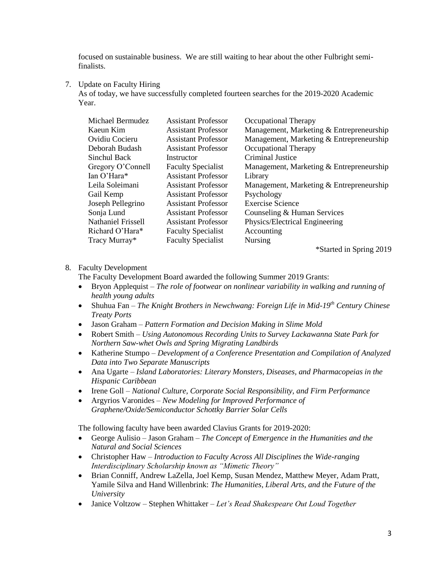focused on sustainable business. We are still waiting to hear about the other Fulbright semifinalists.

7. Update on Faculty Hiring

As of today, we have successfully completed fourteen searches for the 2019-2020 Academic Year.

| Michael Bermudez            | <b>Assistant Professor</b> | Occupational Therapy                     |
|-----------------------------|----------------------------|------------------------------------------|
| Kaeun Kim                   | <b>Assistant Professor</b> | Management, Marketing & Entrepreneurship |
| Ovidiu Cocieru              | <b>Assistant Professor</b> | Management, Marketing & Entrepreneurship |
| Deborah Budash              | <b>Assistant Professor</b> | Occupational Therapy                     |
| Sinchul Back                | Instructor                 | Criminal Justice                         |
| Gregory O'Connell           | <b>Faculty Specialist</b>  | Management, Marketing & Entrepreneurship |
| $\text{Tan } \Omega$ 'Hara* | <b>Assistant Professor</b> | Library                                  |
| Leila Soleimani             | <b>Assistant Professor</b> | Management, Marketing & Entrepreneurship |
| Gail Kemp                   | <b>Assistant Professor</b> | Psychology                               |
| Joseph Pellegrino           | <b>Assistant Professor</b> | <b>Exercise Science</b>                  |
| Sonja Lund                  | <b>Assistant Professor</b> | Counseling & Human Services              |
| <b>Nathaniel Frissell</b>   | <b>Assistant Professor</b> | Physics/Electrical Engineering           |
| Richard O'Hara*             | <b>Faculty Specialist</b>  | Accounting                               |
| Tracy Murray*               | <b>Faculty Specialist</b>  | <b>Nursing</b>                           |
|                             |                            | $\sim$ $\sim$ $\sim$                     |

\*Started in Spring 2019

# 8. Faculty Development

The Faculty Development Board awarded the following Summer 2019 Grants:

- Bryon Applequist *The role of footwear on nonlinear variability in walking and running of health young adults*
- Shuhua Fan *The Knight Brothers in Newchwang: Foreign Life in Mid-19th Century Chinese Treaty Ports*
- Jason Graham *Pattern Formation and Decision Making in Slime Mold*
- Robert Smith *Using Autonomous Recording Units to Survey Lackawanna State Park for Northern Saw-whet Owls and Spring Migrating Landbirds*
- Katherine Stumpo *Development of a Conference Presentation and Compilation of Analyzed Data into Two Separate Manuscripts*
- Ana Ugarte *Island Laboratories: Literary Monsters, Diseases, and Pharmacopeias in the Hispanic Caribbean*
- Irene Goll *National Culture, Corporate Social Responsibility, and Firm Performance*
- Argyrios Varonides *New Modeling for Improved Performance of Graphene/Oxide/Semiconductor Schottky Barrier Solar Cells*

The following faculty have been awarded Clavius Grants for 2019-2020:

- George Aulisio Jason Graham *The Concept of Emergence in the Humanities and the Natural and Social Sciences*
- Christopher Haw *Introduction to Faculty Across All Disciplines the Wide-ranging Interdisciplinary Scholarship known as "Mimetic Theory"*
- Brian Conniff, Andrew LaZella, Joel Kemp, Susan Mendez, Matthew Meyer, Adam Pratt, Yamile Silva and Hand Willenbrink: *The Humanities, Liberal Arts, and the Future of the University*
- Janice Voltzow Stephen Whittaker *Let's Read Shakespeare Out Loud Together*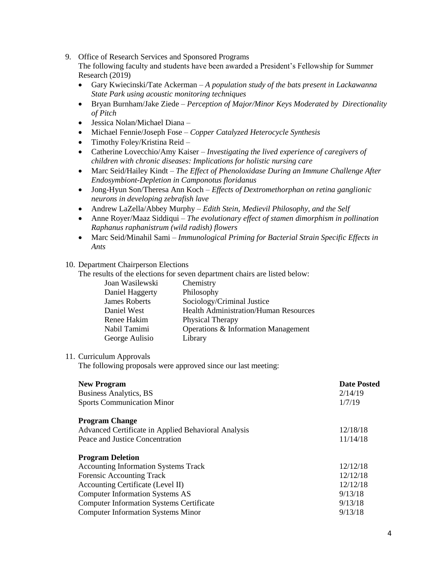9. Office of Research Services and Sponsored Programs

The following faculty and students have been awarded a President's Fellowship for Summer Research (2019)

- Gary Kwiecinski/Tate Ackerman *A population study of the bats present in Lackawanna State Park using acoustic monitoring techniques*
- Bryan Burnham/Jake Ziede *Perception of Major/Minor Keys Moderated by Directionality of Pitch*
- Jessica Nolan/Michael Diana –
- Michael Fennie/Joseph Fose *Copper Catalyzed Heterocycle Synthesis*
- Timothy Foley/Kristina Reid –
- Catherine Lovecchio/Amy Kaiser *Investigating the lived experience of caregivers of children with chronic diseases: Implications for holistic nursing care*
- Marc Seid/Hailey Kindt *The Effect of Phenoloxidase During an Immune Challenge After Endosymbiont-Depletion in Camponotus floridanus*
- Jong-Hyun Son/Theresa Ann Koch *Effects of Dextromethorphan on retina ganglionic neurons in developing zebrafish lave*
- Andrew LaZella/Abbey Murphy *Edith Stein, Medievil Philosophy, and the Self*
- Anne Royer/Maaz Siddiqui *The evolutionary effect of stamen dimorphism in pollination Raphanus raphanistrum (wild radish) flowers*
- Marc Seid/Minahil Sami *Immunological Priming for Bacterial Strain Specific Effects in Ants*

## 10. Department Chairperson Elections

The results of the elections for seven department chairs are listed below:

| Joan Wasilewski      | Chemistry                                    |
|----------------------|----------------------------------------------|
| Daniel Haggerty      | Philosophy                                   |
| <b>James Roberts</b> | Sociology/Criminal Justice                   |
| Daniel West          | <b>Health Administration/Human Resources</b> |
| Renee Hakim          | Physical Therapy                             |
| Nabil Tamimi         | Operations & Information Management          |
| George Aulisio       | Library                                      |

# 11. Curriculum Approvals

The following proposals were approved since our last meeting:

| <b>New Program</b>                                  | <b>Date Posted</b> |
|-----------------------------------------------------|--------------------|
| Business Analytics, BS                              | 2/14/19            |
| <b>Sports Communication Minor</b>                   | 1/7/19             |
| <b>Program Change</b>                               |                    |
| Advanced Certificate in Applied Behavioral Analysis | 12/18/18           |
| Peace and Justice Concentration                     | 11/14/18           |
| <b>Program Deletion</b>                             |                    |
| <b>Accounting Information Systems Track</b>         | 12/12/18           |
| Forensic Accounting Track                           | 12/12/18           |
| Accounting Certificate (Level II)                   | 12/12/18           |
| <b>Computer Information Systems AS</b>              | 9/13/18            |
| <b>Computer Information Systems Certificate</b>     | 9/13/18            |
| <b>Computer Information Systems Minor</b>           | 9/13/18            |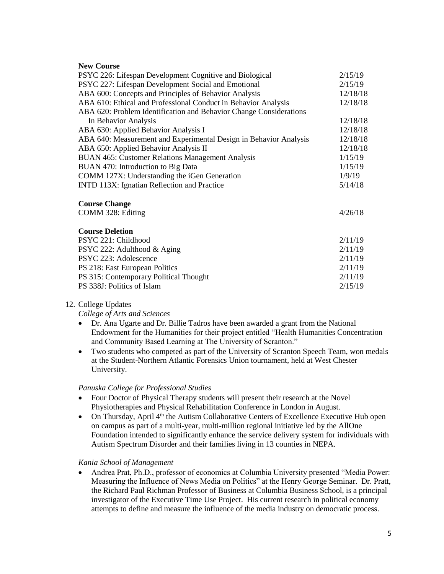#### **New Course**

| PSYC 226: Lifespan Development Cognitive and Biological            | 2/15/19  |
|--------------------------------------------------------------------|----------|
| PSYC 227: Lifespan Development Social and Emotional                | 2/15/19  |
| ABA 600: Concepts and Principles of Behavior Analysis              | 12/18/18 |
| ABA 610: Ethical and Professional Conduct in Behavior Analysis     | 12/18/18 |
| ABA 620: Problem Identification and Behavior Change Considerations |          |
| In Behavior Analysis                                               | 12/18/18 |
| ABA 630: Applied Behavior Analysis I                               | 12/18/18 |
| ABA 640: Measurement and Experimental Design in Behavior Analysis  | 12/18/18 |
| ABA 650: Applied Behavior Analysis II                              | 12/18/18 |
| BUAN 465: Customer Relations Management Analysis                   | 1/15/19  |
| BUAN 470: Introduction to Big Data                                 | 1/15/19  |
| COMM 127X: Understanding the iGen Generation                       | 1/9/19   |
| INTD 113X: Ignatian Reflection and Practice                        | 5/14/18  |
| <b>Course Change</b>                                               |          |
| COMM 328: Editing                                                  | 4/26/18  |
| <b>Course Deletion</b>                                             |          |
| PSYC 221: Childhood                                                | 2/11/19  |
| PSYC 222: Adulthood & Aging                                        | 2/11/19  |
| PSYC 223: Adolescence                                              | 2/11/19  |
| PS 218: East European Politics                                     | 2/11/19  |
| PS 315: Contemporary Political Thought                             | 2/11/19  |
| PS 338J: Politics of Islam                                         | 2/15/19  |

#### 12. College Updates

*College of Arts and Sciences*

- Dr. Ana Ugarte and Dr. Billie Tadros have been awarded a grant from the National Endowment for the Humanities for their project entitled "Health Humanities Concentration and Community Based Learning at The University of Scranton."
- Two students who competed as part of the University of Scranton Speech Team, won medals at the Student-Northern Atlantic Forensics Union tournament, held at West Chester University.

#### *Panuska College for Professional Studies*

- Four Doctor of Physical Therapy students will present their research at the Novel Physiotherapies and Physical Rehabilitation Conference in London in August.
- On Thursday, April  $4<sup>th</sup>$  the Autism Collaborative Centers of Excellence Executive Hub open on campus as part of a multi-year, multi-million regional initiative led by the AllOne Foundation intended to significantly enhance the service delivery system for individuals with Autism Spectrum Disorder and their families living in 13 counties in NEPA.

## *Kania School of Management*

 Andrea Prat, Ph.D., professor of economics at Columbia University presented "Media Power: Measuring the Influence of News Media on Politics" at the Henry George Seminar. Dr. Pratt, the Richard Paul Richman Professor of Business at Columbia Business School, is a principal investigator of the Executive Time Use Project. His current research in political economy attempts to define and measure the influence of the media industry on democratic process.